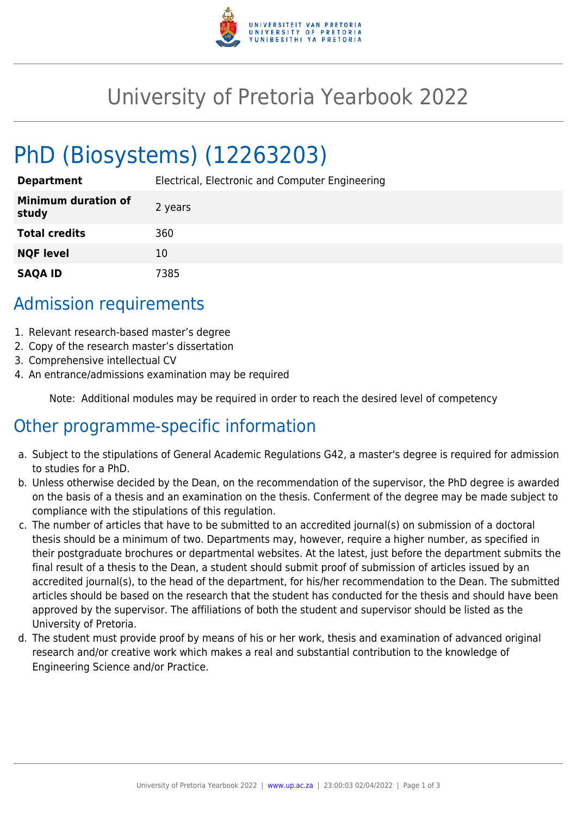

## University of Pretoria Yearbook 2022

# PhD (Biosystems) (12263203)

**Department** Electrical, Electronic and Computer Engineering

| <b>Minimum duration of</b><br>study | 2 years |
|-------------------------------------|---------|
| <b>Total credits</b>                | 360     |
| <b>NQF level</b>                    | 10      |
| <b>SAQA ID</b>                      | 7385    |

#### Admission requirements

- 1. Relevant research-based master's degree
- 2. Copy of the research master's dissertation
- 3. Comprehensive intellectual CV
- 4. An entrance/admissions examination may be required

Note: Additional modules may be required in order to reach the desired level of competency

## Other programme-specific information

- a. Subject to the stipulations of General Academic Regulations G42, a master's degree is required for admission to studies for a PhD.
- b. Unless otherwise decided by the Dean, on the recommendation of the supervisor, the PhD degree is awarded on the basis of a thesis and an examination on the thesis. Conferment of the degree may be made subject to compliance with the stipulations of this regulation.
- c. The number of articles that have to be submitted to an accredited journal(s) on submission of a doctoral thesis should be a minimum of two. Departments may, however, require a higher number, as specified in their postgraduate brochures or departmental websites. At the latest, just before the department submits the final result of a thesis to the Dean, a student should submit proof of submission of articles issued by an accredited journal(s), to the head of the department, for his/her recommendation to the Dean. The submitted articles should be based on the research that the student has conducted for the thesis and should have been approved by the supervisor. The affiliations of both the student and supervisor should be listed as the University of Pretoria.
- d. The student must provide proof by means of his or her work, thesis and examination of advanced original research and/or creative work which makes a real and substantial contribution to the knowledge of Engineering Science and/or Practice.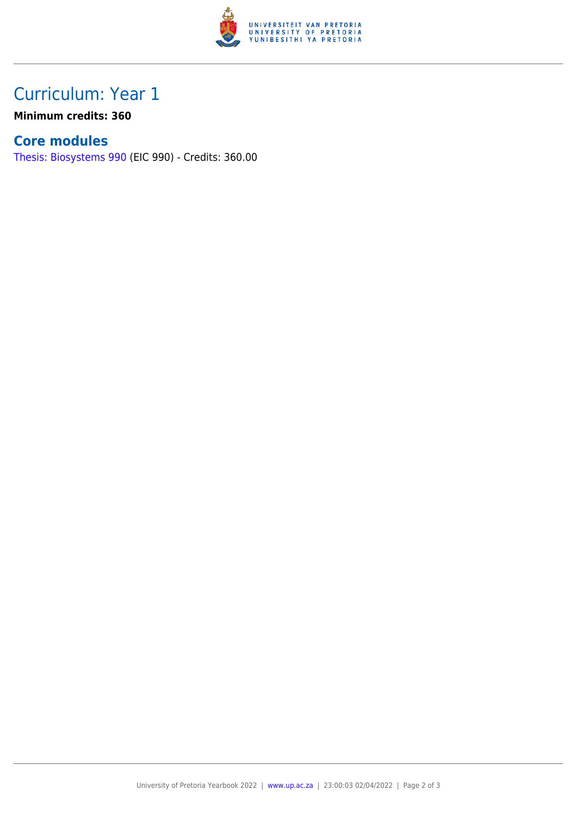

## Curriculum: Year 1

**Minimum credits: 360**

#### **Core modules**

[Thesis: Biosystems 990](https://www.up.ac.za/parents/yearbooks/2022/modules/view/EIC 990) (EIC 990) - Credits: 360.00